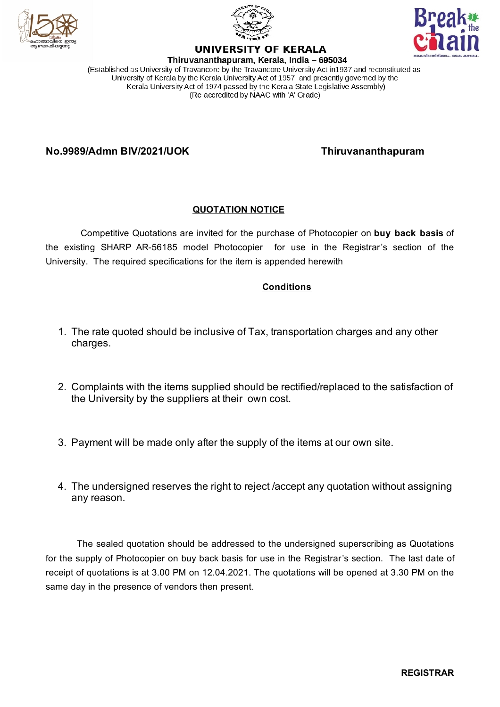





# **UNIVERSITY OF KERALA**

Thiruvananthapuram, Kerala, India - 695034 (Established as University of Travancore by the Travancore University Act in 1937 and reconstituted as University of Kerala by the Kerala University Act of 1957 and presently governed by the Kerala University Act of 1974 passed by the Kerala State Legislative Assembly) (Re-accredited by NAAC with 'A' Grade)

**No.9989/Admn BIV/2021/UOK Thiruvananthapuram**

#### **QUOTATION NOTICE**

Competitive Quotations are invited for the purchase of Photocopier on **buy back basis** of the existing SHARP AR-56185 model Photocopier for use in the Registrar's section of the University. The required specifications for the item is appended herewith

#### **Conditions**

- 1. The rate quoted should be inclusive of Tax, transportation charges and any other charges.
- 2. Complaints with the items supplied should be rectified/replaced to the satisfaction of the University by the suppliers at their own cost.
- 3. Payment will be made only after the supply of the items at our own site.
- 4. The undersigned reserves the right to reject /accept any quotation without assigning any reason.

The sealed quotation should be addressed to the undersigned superscribing as Quotations for the supply of Photocopier on buy back basis for use in the Registrar's section. The last date of receipt of quotations is at 3.00 PM on 12.04.2021. The quotations will be opened at 3.30 PM on the same day in the presence of vendors then present.